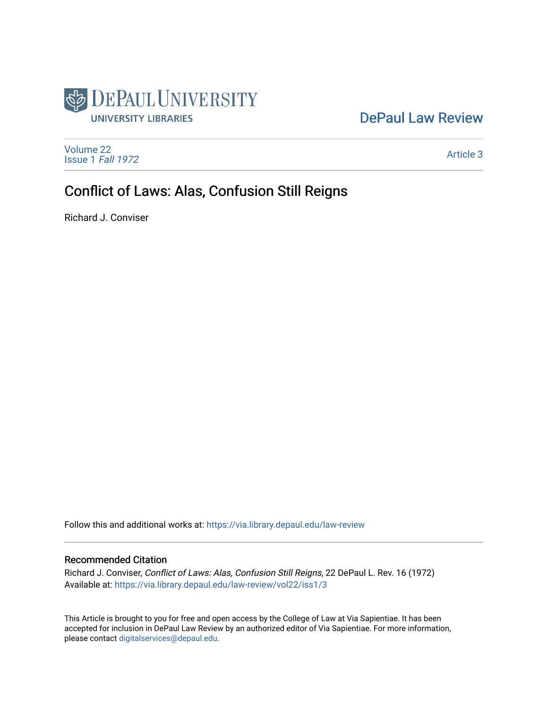

# [DePaul Law Review](https://via.library.depaul.edu/law-review)

[Volume 22](https://via.library.depaul.edu/law-review/vol22) [Issue 1](https://via.library.depaul.edu/law-review/vol22/iss1) Fall 1972

[Article 3](https://via.library.depaul.edu/law-review/vol22/iss1/3) 

# Conflict of Laws: Alas, Confusion Still Reigns

Richard J. Conviser

Follow this and additional works at: [https://via.library.depaul.edu/law-review](https://via.library.depaul.edu/law-review?utm_source=via.library.depaul.edu%2Flaw-review%2Fvol22%2Fiss1%2F3&utm_medium=PDF&utm_campaign=PDFCoverPages) 

# Recommended Citation

Richard J. Conviser, Conflict of Laws: Alas, Confusion Still Reigns, 22 DePaul L. Rev. 16 (1972) Available at: [https://via.library.depaul.edu/law-review/vol22/iss1/3](https://via.library.depaul.edu/law-review/vol22/iss1/3?utm_source=via.library.depaul.edu%2Flaw-review%2Fvol22%2Fiss1%2F3&utm_medium=PDF&utm_campaign=PDFCoverPages) 

This Article is brought to you for free and open access by the College of Law at Via Sapientiae. It has been accepted for inclusion in DePaul Law Review by an authorized editor of Via Sapientiae. For more information, please contact [digitalservices@depaul.edu.](mailto:digitalservices@depaul.edu)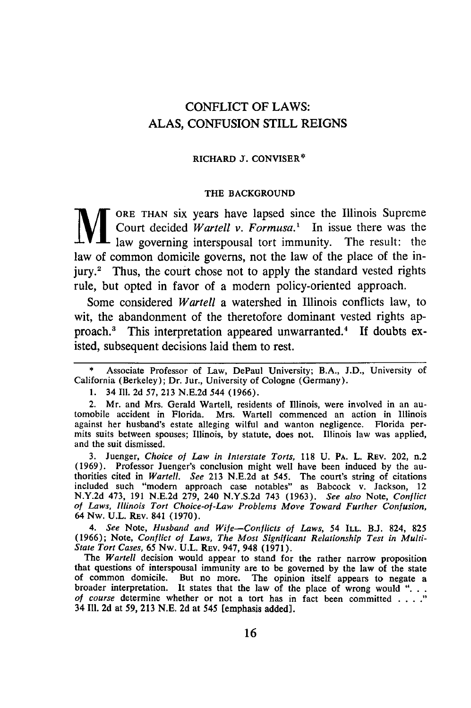# CONFLICT OF LAWS: **ALAS, CONFUSION** STILL **REIGNS**

#### RICHARD **J. CONVISER\***

#### THE **BACKGROUND**

ORE THAN six years have lapsed since the Illinois Supreme Court decided *Wartell v. Formusa.'* In issue there was the law governing interspousal tort immunity. The result: the law of common domicile governs, not the law of the place of the injury.<sup>2</sup> Thus, the court chose not to apply the standard vested rights rule, but opted in favor of a modern policy-oriented approach.

Some considered *Wartell* a watershed in Illinois conflicts law, to wit, the abandonment of the theretofore dominant vested rights approach.3 This interpretation appeared unwarranted.' If doubts existed, subsequent decisions laid them to rest.

2. Mr. and Mrs. Gerald Wartell, residents of Illinois, were involved in an au- tomobile accident in Florida. Mrs. Wartell commenced an action in Illinois against her husband's estate alleging wilful and wanton negligence. Florida permits suits between spouses; Illinois, by statute, does not. Illinois law was applied, and the suit dismissed.

**3.** Juenger, *Choice of Law in Interstate Torts,* 118 U. PA. L. REV. 202, n.2 (1969). Professor Juenger's conclusion might well have been induced by the au- thorities cited in *Wartell. See* 213 N.E.2d at 545. The court's string of citations included such "modem approach case notables" as Babcock v. Jackson, 12 N.Y.2d 473, 191 N.E.2d 279, 240 N.Y.S.2d 743 (1963). *See also* Note, *Conflict of Laws, Illinois Tort Choice-of-Law Problems Move Toward Further Confusion,* 64 Nw. U.L. REv. 841 (1970).

*4. See* Note, *Husband and Wife-Conflicts of Laws,* 54 ILL. B.J. 824, 825 (1966); Note, *Conflict of Laws, The Most Significant Relationship Test in Multi-State Tort Cases,* 65 Nw. U.L. REv. 947, 948 (1971).

*The Wartell* decision would appear to stand for the rather narrow proposition that questions of interspousal immunity are to be governed by the law of the state of common domicile. But no more. The opinion itself appears to negate a broader interpretation. It states that the law of the place of wrong would ". *of course* determine whether or not a tort has in fact been committed. 34 I1l. 2d at 59, 213 N.E. 2d at 545 [emphasis added].

**<sup>\*</sup>** Associate Professor of Law, DePaul University; B.A., J.D., University of California (Berkeley); Dr. Jur., University of Cologne (Germany).

<sup>1. 34</sup> **111.** 2d *57,* 213 N.E.2d 544 (1966).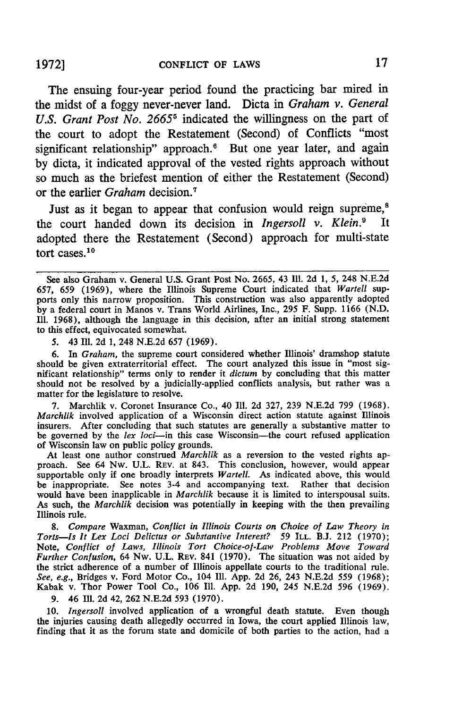The ensuing four-year period found the practicing bar mired in the midst of a **foggy** never-never land. Dicta in *Graham v. General* U.S. Grant Post No. 2665<sup>5</sup> indicated the willingness on the part of the court to adopt the Restatement (Second) of Conflicts "most significant relationship" approach.<sup>6</sup> But one year later, and again **by** dicta, it indicated approval of the vested rights approach without so much as the briefest mention of either the Restatement (Second) or the earlier *Graham* decision.<sup>7</sup>

Just as it began to appear that confusion would reign supreme,<sup>8</sup> the court handed down its decision in *Ingersoll v. Klein.9* It adopted there the Restatement (Second) approach for multi-state tort cases.10

**5.** 43 Ill. 2d **1,** 248 N.E.2d 657 (1969).

6. In *Graham,* the supreme court considered whether Illinois' dramshop statute should be given extraterritorial effect. The court analyzed this issue in "most significant relationship" terms only to render it *dictum* **by** concluding that this matter should not be resolved **by** a judicially-applied conflicts analysis, but rather was a matter for the legislature to resolve.

**7.** Marchlik v. Coronet Insurance Co., 40 **Ill.** 2d **327, 239** N.E.2d **799** (1968). *Marchlik* involved application of a Wisconsin direct action statute against Illinois insurers. After concluding that such statutes are generally a substantive matter to be governed by the *lex loci*-in this case Wisconsin-the court refused application of Wisconsin law on public policy grounds.

At least one author construed *Marchlik* as a reversion to the vested rights approach. See 64 Nw. **U.L.** REV. at 843. This conclusion, however, would appear supportable only if one broadly interprets *Wartell.* As indicated above, this would be inappropriate. See notes 3-4 and accompanying text. Rather that decision would have been inapplicable in *Marchlik* because it is limited to interspousal suits. As such, the *Marchlik* decision was potentially in keeping with the then prevailing Illinois rule.

*8. Compare* Waxman, *Conflict in Illinois Courts on Choice of Law Theory in Torts-Is It Lex Loci Delictus or Substantive Interest? 59* **ILL. B.J.** 212 (1970); Note, *Conflict of Laws, Illinois Tort* Choice-of-Law Problems Move Toward Further Confusion, 64 Nw. U.L. REV. 841 (1970). The situation was not aided **by** the strict adherence of a number of Illinois appellate courts to the traditional rule. See, e.g., Bridges v. Ford Motor Co., 104 Ill. App. 2d 26, 243 N.E.2d *559* (1968); Kabak v. Thor Power Tool Co., 106 **Ill.** App. 2d 190, 245 N.E.2d 596 (1969).

**9.** 46 Ill. 2d 42, 262 N.E.2d 593 (1970).

**10.** *Ingersoll* involved application of a wrongful death statute. Even though the injuries causing death allegedly occurred in Iowa, the court applied Illinois law, finding that it as the forum state and domicile of both parties to the action, had a

See also Graham v. General U.S. Grant Post No. 2665, 43 Ill. 2d 1, *5,* 248 N.E.2d 657, *659* (1969), where the Illinois Supreme Court indicated that *Wartell* supports only this narrow proposition. This construction was also apparently adopted **by** a federal court in Manos v. Trans World Airlines, Inc., 295 F. Supp. 1166 **(N.D. Ill.** 1968), although the language in this decision, after an initial strong statement to this effect, equivocated somewhat.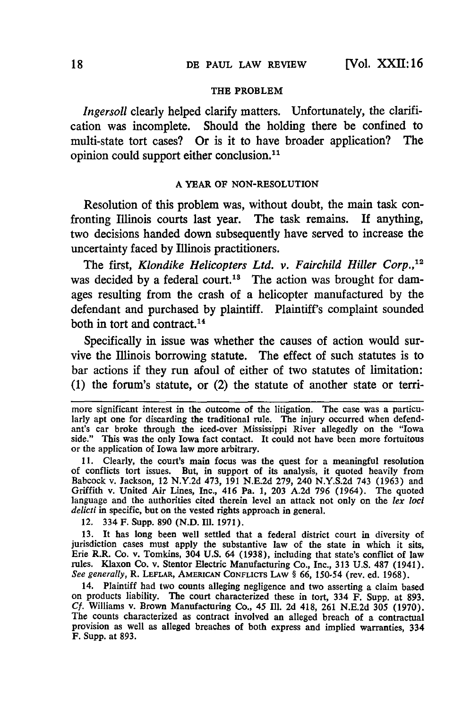#### **THE PROBLEM**

*Ingersoll* clearly helped clarify matters. Unfortunately, the clarification was incomplete. Should the holding there be confined to multi-state tort cases? Or is it to have broader application? The opinion could support either conclusion. 1'

#### **A YEAR OF NON-RESOLUTION**

Resolution of this problem was, without doubt, the main task confronting Illinois courts last year. The task remains. If anything, two decisions handed down subsequently have served to increase the uncertainty faced by Illinois practitioners.

The first, *Klondike Helicopters Ltd. v. Fairchild Hiller Corp.,'2* was decided by a federal court.<sup>18</sup> The action was brought for damages resulting from the crash of a helicopter manufactured by the defendant and purchased by plaintiff. Plaintiff's complaint sounded both in tort and contract.<sup>14</sup>

Specifically in issue was whether the causes of action would survive the Illinois borrowing statute. The effect of such statutes is to bar actions if they run afoul of either of two statutes of limitation: **(1)** the forum's statute, or (2) the statute of another state or **terri-**

11. Clearly, the court's main focus was the quest for a meaningful resolution of conflicts tort issues. But, in support of its analysis, it quoted heavily from Babcock v. Jackson, 12 N.Y.2d 473, 191 N.E.2d 279, 240 N.Y.S.2d 743 (1963) and Griffith v. United Air Lines, Inc., 416 Pa. 1, 203 A.2d 796 (1964). The quoted language and the authorities cited therein level an attack not only on the *lex loci delicti* in specific, but on the vested rights approach in general.

12. 334 F. Supp. 890 (N.D. Ill. 1971).

13. It has long been well settled that a federal district court in diversity of jurisdiction cases must apply the substantive law of the state in which it sits, Erie R.R. Co. v. Tomkins, 304 U.S. 64 (1938), including that state's conflict of law rules. Klaxon Co. v. Stentor Electric Manufacturing Co., Inc., 313 U.S. 487 (1941). *See generally,* R. LEFLAR, **AMERICAN** CONFLICTS LAw § 66, 150-54 (rev. ed. 1968).

14. Plaintiff had two counts alleging negligence and two asserting a claim based on products liability. The court characterized these in tort, 334 F. Supp. at 893. *Cf.* Williams v. Brown Manufacturing Co., 45 Ill. 2d 418, 261 N.E.2d 305 (1970). The counts characterized as contract involved an alleged breach of a contractual provision as well as alleged breaches of both express and implied warranties, 334 F. Supp. at 893.

more significant interest in the outcome of the litigation. The case was a particularly apt one for discarding the traditional rule. The injury occurred when defendant's car broke through the iced-over Mississippi River allegedly on the "Iowa side." This was the only Iowa fact contact. It could not have been more fortuitous or the application of Iowa law more arbitrary.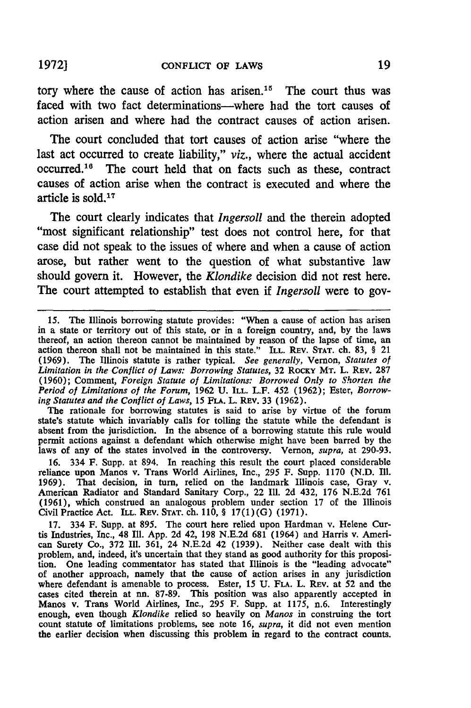tory where the cause of action has arisen.<sup>15</sup> The court thus was faced with two fact determinations---where had the tort causes of action arisen and where had the contract causes of action arisen.

The court concluded that tort causes of action arise "where the last act occurred to create liability," *viz.,* where the actual accident occurred. 16 The court held that on facts such as these, contract causes of action arise when the contract is executed and where the article is sold. <sup>17</sup>

The court clearly indicates that *Ingersoll* and the therein adopted "most significant relationship" test does not control here, for that case did not speak to the issues of where and when a cause of action arose, but rather went to the question of what substantive law should govern it. However, the *Klondike* decision did not rest here. The court attempted to establish that even if *Ingersoll* were to gov-

The rationale for borrowing statutes is said to arise **by** virtue of the forum state's statute which invariably calls for tolling the statute while the defendant is absent from the jurisdiction. In the absence of a borrowing statute this rule would permit actions against a defendant which otherwise might have been barred **by** the laws of any of the states involved in the controversy. Vernon, *supra,* at 290-93.

**16.** 334 F. Supp. at 894. In reaching this result the court placed considerable reliance upon Manos v. Trans World Airlines, Inc., **295** F. Supp. 1170 **(N.D. Ill.** 1969). That decision, in turn, relied on the landmark Illinois case, Gray v. American Radiator and Standard Sanitary Corp., 22 **Ill.** 2d 432, **176** N.E.2d **761** (1961), which construed an analogous problem under section 17 of the Illinois Civil Practice Act. **ILL.** REV. **STAT.** ch. 110, § 17(1)(G) **(1971).**

**17.** 334 F. Supp. at **895.** The court here relied upon Hardman v. Helene Curtis Industries, Inc., 48 Ill. App. 2d 42, **198** N.E.2d **681** (1964) and Harris v. American Surety Co., **372** Ill. 361, 24 **N.E.2d** 42 (1939). Neither case dealt with this problem, and, indeed, it's uncertain that they stand as good authority for this proposition. One leading commentator has stated that Illinois is the "leading advocate" of another approach, namely that the cause of action arises in any jurisdiction where defendant is amenable to process. Ester, 15 **U. FLA.** L. REV. at 52 and the cases cited therein at nn. **87-89.** This position was also apparently accepted in Manos v. Trans World Airlines, Inc., 295 **F.** Supp. at 1175, n.6. Interestingly enough, even though *Klondike* relied so heavily on *Manos* in construing the tort count statute of limitations problems, see note 16, *supra,* it did not even mention the earlier decision when discussing this problem in regard to the contract counts.

<sup>15.</sup> The Illinois borrowing statute provides: "When a cause of action has arisen in a state or territory out of this state, or in a foreign country, and, **by** the laws thereof, an action thereon cannot be maintained **by** reason of the lapse of time, an action thereon shall not be maintained in this state." ILL. REV. **STAT.** ch. **83,** § 21 (1969). The Illinois statute is rather typical. *See generally,* Vernon, *Statutes of Limitation in the Conflict of Laws: Borrowing Statutes,* **32** ROCKY MT. L. REV. **287** (1960); Comment, *Foreign Statute of Limitations: Borrowed Only to Shorten the Period of Limitations of the Forum,* 1962 **U. ILL.** L.F. 452 (1962); Ester, *Borrowing Statutes and the Conflict of Laws,* 15 FLA. L. REV. 33 (1962).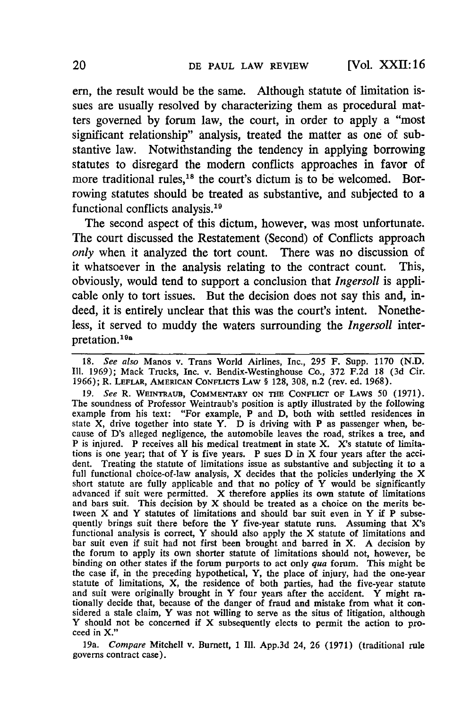em, the result would be the same. Although statute of limitation issues are usually resolved by characterizing them as procedural matters governed by forum law, the court, in order to apply a "most significant relationship" analysis, treated the matter as one of substantive law. Notwithstanding the tendency in applying borrowing statutes to disregard the modem conflicts approaches in favor of more traditional rules,<sup>18</sup> the court's dictum is to be welcomed. Borrowing statutes should be treated as substantive, and subjected to a functional conflicts analysis. <sup>19</sup>

The second aspect of this dictum, however, was most unfortunate. The court discussed the Restatement (Second) of Conflicts approach *only* when it analyzed the tort count. There was no discussion of it whatsoever in the analysis relating to the contract count. This, obviously, would tend to support a conclusion that *Ingersoll* is applicable only to tort issues. But the decision does not say this and, indeed, it is entirely unclear that this was the court's intent. Nonetheless, it served to muddy the waters surrounding the *Ingersoll* interpretation.<sup>19</sup> a

18. *See also* Manos v. Trans World Airlines, Inc., **295** F. Supp. 1170 (N.D. Ill. 1969); Mack Trucks, Inc. v. Bendix-Westinghouse Co., 372 F.2d 18 (3d Cir. 1966); R. LEFLAR, **AMERICAN** CONFLICTS LAW § 128, 308, n.2 (rev. ed. 1968).

19. *See* R. WEINTRAUB, **COMMENTARY ON THE** CONFLICT **OF LAWS** 50 (1971). The soundness of Professor Weintraub's position is aptly illustrated **by** the following example from his text: "For example, P and D, both with settled residences in state X, drive together into state Y. D is driving with P as passenger when, because of D's alleged negligence, the automobile leaves the road, strikes a tree, and P is injured. P receives all his medical treatment in state X. X's statute of limitations is one year; that of Y is five years. P sues D in X four years after the accident. Treating the statute of limitations issue as substantive and subjecting it to a full functional choice-of-law analysis, X decides that the policies underlying the X short statute are fully applicable and that no policy of Y would be significantly advanced if suit were permitted. X therefore applies its own statute of limitations and bars suit. This decision by X should be treated as a choice on the merits between X and Y statutes of limitations and should bar suit even in Y if P subsequently brings suit there before the Y five-year statute runs. Assuming that X's functional analysis is correct, Y should also apply the X statute of limitations and bar suit even if suit had not first been brought and barred in X. A decision by the forum to apply its own shorter statute of limitations should not, however, be binding on other states if the forum purports to act only *qua* forum. This might be the case if, in the preceding hypothetical, Y, the place of injury, had the one-year statute of limitations, X, the residence of both parties, had the five-year statute and suit were originally brought in Y four years after the accident. Y might rationally decide that, because of the danger of fraud and mistake from what it considered a stale claim, Y was not willing to serve as the situs Y should not be concerned if X subsequently elects to permit the action to proceed in X."

19a. *Compare* Mitchell v. Burnett, 1 Ill. App.3d 24, **26** (1971) (traditional rule governs contract case).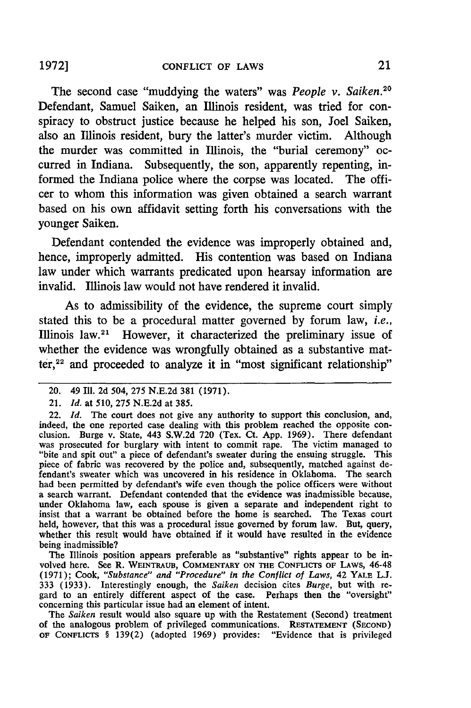The second case "muddying the waters" was *People v. Saiken.<sup>20</sup>* Defendant, Samuel Saiken, an Illinois resident, was tried for conspiracy to obstruct justice because he helped his son, Joel Saiken, also an Illinois resident, bury the latter's murder victim. Although the murder was committed in Illinois, the "burial ceremony" occurred in Indiana. Subsequently, the son, apparently repenting, informed the Indiana police where the corpse was located. The officer to whom this information was given obtained a search warrant based on his own affidavit setting forth his conversations with the younger Saiken.

Defendant contended the evidence was improperly obtained and, hence, improperly admitted. His contention was based on Indiana law under which warrants predicated upon hearsay information are invalid. Illinois law would not have rendered it invalid.

As to admissibility of the evidence, the supreme court simply stated this to be a procedural matter governed by forum law, *i.e.,* Illinois law.<sup>21</sup> However, it characterized the preliminary issue of whether the evidence was wrongfully obtained as a substantive matter,<sup>22</sup> and proceeded to analyze it in "most significant relationship"

The Illinois position appears preferable as "substantive" rights appear to be involved here. See R. **WEINTRAUB, COMMENTARY ON THE CONFLICTS OF** LAWS, 46-48 (1971); Cook, *"Substance" and "Procedure" in the Conflict of Laws,* 42 YALE L.J. 333 (1933). Interestingly enough, the *Saiken* decision cites *Burge,* but with re- gard to an entirely different aspect of the case. Perhaps then the "oversight" concerning this particular issue had an element of intent.

The Saiken result would also square up with the Restatement (Second) treatment of the analogous problem of privileged communications. RESTATEMENT **(SEcoND) OF CONFLICTS** § 139(2) (adopted 1969) provides: "Evidence that is privileged

<sup>20. 49</sup> Ill. 2d 504, 275 N.E.2d 381 (1971).

<sup>21.</sup> *Id.* at 510, 275 N.E.2d at 385.

<sup>22.</sup> *Id.* The court does not give any authority to support this conclusion, and, indeed, the one reported case dealing with this problem reached the opposite conclusion. Burge v. State, 443 S.W.2d 720 (Tex. Ct. App. 1969). There defendant was prosecuted for burglary with intent to commit rape. The vict "bite and spit out" a piece of defendant's sweater during the ensuing struggle. This piece of fabric was recovered by the police and, subsequently, matched against defendant's sweater which was uncovered in his residence in Oklahoma. The search had been permitted by defendant's wife even though the police officers were without a search warrant. Defendant contended that the evidence was inadmissible because, under Oklahoma law, each spouse is given a separate and independent right to insist that a warrant be obtained before the home is searched. The Texas court held, however, that this was a procedural issue governed by forum law. But, query, whether this result would have obtained if it would have resulted in the evidence being inadmissible?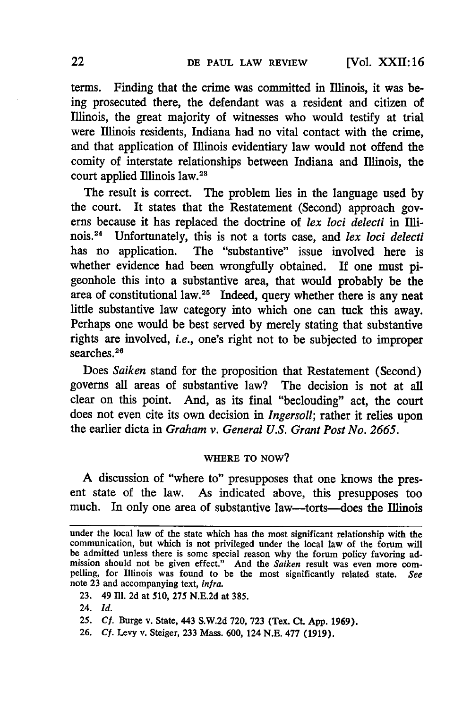[Vol. XXII: **16**

terms. Finding that the crime was committed in Illinois, it was being prosecuted there, the defendant was a resident and citizen of Illinois, the great majority of witnesses who would testify at trial were Illinois residents, Indiana had no vital contact with the crime, and that application of Illinois evidentiary law would not offend the comity of interstate relationships between Indiana and Illinois, the court applied Illinois law.<sup>28</sup>

The result is correct. The problem lies in the language used by the court. It states that the Restatement (Second) approach governs because it has replaced the doctrine of lex loci delecti in Illinois."4 Unfortunately, this is not a torts case, and *lex loci delecti* has no application. The "substantive" issue involved here is whether evidence had been wrongfully obtained. If one must pigeonhole this into a substantive area, that would probably be the area of constitutional law.25 Indeed, query whether there is any neat little substantive law category into which one can tuck this away. Perhaps one would be best served by merely stating that substantive rights are involved, *i.e.,* one's right not to be subjected to improper searches.<sup>26</sup>

Does *Saiken* stand for the proposition that Restatement (Second) governs all areas of substantive law? The decision is not at all clear on this point. And, as its final "beclouding" act, the court does not even cite its own decision in *Ingersoll;* rather it relies upon the earlier dicta in *Graham v. General U.S. Grant Post No. 2665.*

### **WHERE** TO NOW?

A discussion of "where to" presupposes that one knows the present state of the law. As indicated above, this presupposes too much. In only one area of substantive law—torts—does the Illinois

- 23. 49 Ill. 2d at 510, 275 N.E.2d at **385.**
- 24. *Id.*
- 25. *Cf.* Burge v. State, 443 S.W.2d 720, 723 (Tex. Ct. App. 1969).
- **26.** *Cf.* Levy v. Steiger, **233** Mass. 600, 124 N.E. 477 (1919).

under the local law of the state which has the most significant relationship with the communication, but which is not privileged under the local law of the forum will be admitted unless there is some special reason why the forum policy favoring admission should not be given effect." And the *Saiken* result was even more com-<br>pelling, for Illinois was found to be the most significantly related state. See note **23** and accompanying text, *infra.*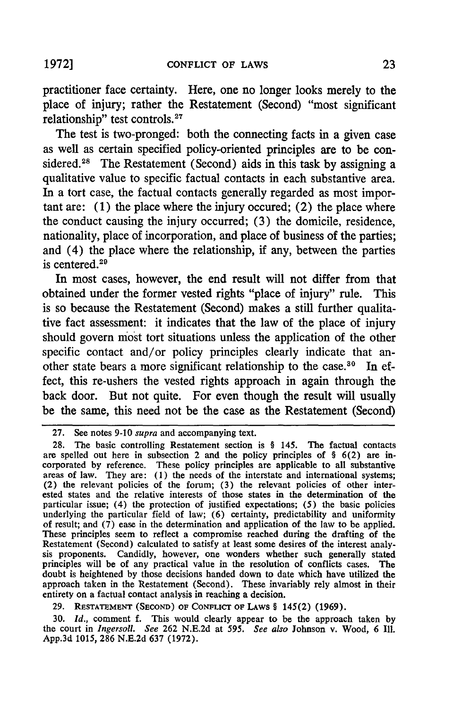practitioner face certainty. Here, one no longer looks merely to the place of injury; rather the Restatement (Second) "most significant relationship" test controls.<sup>27</sup>

The test is two-pronged: both the connecting facts in a given case as well as certain specified policy-oriented principles are to be considered. 28 The Restatement (Second) aids in this task **by** assigning a qualitative value to specific factual contacts in each substantive area. In a tort case, the factual contacts generally regarded as most important are: **(1)** the place where the injury occured; (2) the place where the conduct causing the injury occurred; **(3)** the domicile, residence, nationality, place of incorporation, and place of business of the parties; and (4) the place where the relationship, if any, between the parties is centered.29

In most cases, however, the end result will not differ from that obtained under the former vested rights "place of injury" rule. This is so because the Restatement (Second) makes a still further qualitative fact assessment: it indicates that the law of the place of injury should govern most tort situations unless the application of the other specific contact and/or policy principles clearly indicate that another state bears a more significant relationship to the case. 30 In effect, this re-ushers the vested rights approach in again through the back door. But not quite. For even though the result will usually be the same, this need not be the case as the Restatement (Second)

29. **RESTATEMENT (SEcoND)** OF CONFLIcr **OF** LAWS § 145(2) (1969).

30. *Id.,* comment f. This would clearly appear to be the approach taken by the court in *Ingersoll. See* 262 N.E.2d at *595. See also* Johnson v. Wood, **6 Ill.** App.3d 1015, 286 N.E.2d 637 (1972).

<sup>27.</sup> See notes 9-10 supra and accompanying text.

<sup>28.</sup> The basic controlling Restatement section is § 145. The factual contacts are spelled out here in subsection 2 and the policy principles of § 6(2) are incorporated by reference. These policy principles are applicable to all substantive areas of law. They are: (1) the needs of the interstate and international systems; (2) the relevant policies of the forum; (3) the relevant policies of other interested states and the relative interests of those states in the determination of the particular issue; (4) the protection of justified expectations; (5) the basic policies underlying the particular field of law; (6) certainty, predictability and uniformity of result; and (7) ease in the determination and application of the law to be applied. These principles seem to reflect a compromise reached during the drafting of the Restatement (Second) calculated to satisfy at least some desires of the interest analysis proponents. Candidly, however, one wonders whether such generally stated principles will be of any practical value in the resolution of conflicts cases. The doubt is heightened by those decisions handed down to date which have utilized the approach taken in the Restatement (Second). These invariably rely almost in their entirety on a factual contact analysis in reaching a decision.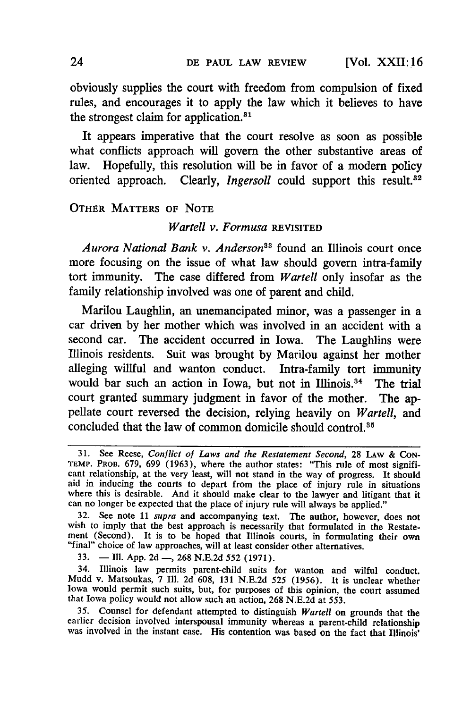[Vol. XXII **!6**

obviously supplies the court with freedom from compulsion of fixed rules, and encourages it to apply the law which it believes to have the strongest claim for application.<sup>31</sup>

It appears imperative that the court resolve as soon as possible what conflicts approach will govern the other substantive areas of law. Hopefully, this resolution will be in favor of a modern policy oriented approach. Clearly, *Ingersoll* could support this result.<sup>32</sup>

## OTHER **MATTERS OF NOTE**

### *Wartell v. Formusa* REVISITED

*Aurora National Bank v. Anderson33* found an Illinois court once more focusing on the issue of what law should govern intra-family tort immunity. The case differed from *Wartell* only insofar as the family relationship involved was one of parent and child.

Marilou Laughlin, an unemancipated minor, was a passenger in a car driven by her mother which was involved in an accident with a second car. The accident occurred in Iowa. The Laughlins were Illinois residents. Suit was brought by Marilou against her mother alleging willful and wanton conduct. Intra-family tort immunity would bar such an action in Iowa, but not in Illinois.<sup>34</sup> The trial court granted summary judgment in favor of the mother. The appellate court reversed the decision, relying heavily on *Wartell,* and concluded that the law of common domicile should control.<sup>85</sup>

33.  $\blacksquare$  Ill. App. 2d  $\blacksquare$ , 268 N.E.2d 552 (1971).

34. Illinois law permits parent-child suits for wanton and wilful conduct. Mudd v. Matsoukas, 7 Ill. 2d 608, 131 N.E.2d 525 (1956). It is unclear whether Iowa would permit such suits, but, for purposes of this opinion, the court assumed that Iowa policy would not allow such an action, 268 N.E.2d at 553.

35. Counsel for defendant attempted to distinguish Wartell on grounds that the earlier decision involved interspousal immunity whereas a parent-child relationship was involved in the instant case. His contention was based on the fact that Illinois'

24

<sup>31.</sup> See Reese, Conflict of Laws *and the Restatement Second,* 28 LAw & CON-TEMP. PROB. 679, 699 (1963), where the author states: "This rule of most significant relationship, at the very least, will not stand in the way of progress. It should aid in inducing the courts to depart from the place of injury rule in situations where this is desirable. And it should make clear to the lawyer and litigant that it can no longer be expected that the place of injury rule will always be applied."

<sup>32.</sup> See note 11 *supra* and accompanying text. The author, however, does not wish to imply that the best approach is necessarily that formulated in the Restatement (Second). It is to be hoped that Illinois courts, in formulating their own "final" choice of law approaches, will at least consider other alternatives.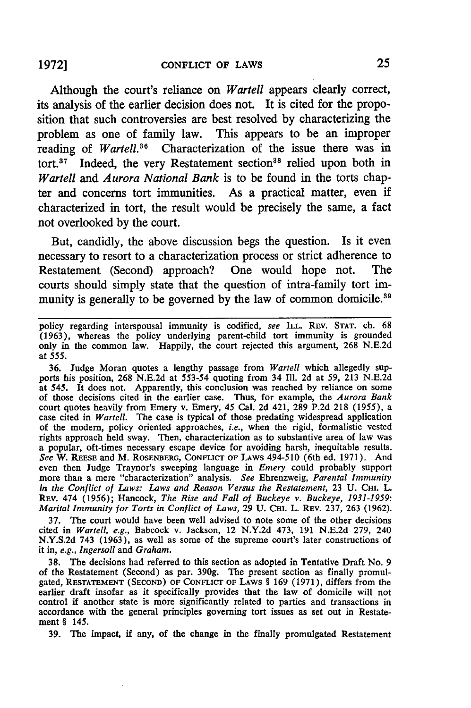Although the court's reliance on *Wartell* appears clearly correct, its analysis of the earlier decision does not. It is cited for the proposition that such controversies are best resolved by characterizing the problem as one of family law. This appears to be an improper reading of *Wartell*.<sup>36</sup> Characterization of the issue there was in tort.<sup>37</sup> Indeed, the very Restatement section<sup>38</sup> relied upon both in *Wartell and Aurora National Bank* is to be found in the torts chapter and concerns tort immunities. As a practical matter, even if characterized in tort, the result would be precisely the same, a fact not overlooked by the court.

But, candidly, the above discussion begs the question. Is it even necessary to resort to a characterization process or strict adherence to Restatement (Second) approach? One would hope not. The courts should simply state that the question of intra-family tort immunity is generally to be governed by the law of common domicile.<sup>39</sup>

36. Judge Moran quotes a lengthy passage from *Wartell* which allegedly supports his position, 268 N.E.2d at 553-54 quoting from 34 **Ill.** 2d at 59, 213 N.E.2d at 545. It does not. Apparently, this conclusion was reached by reliance on some of those decisions cited in the earlier case. Thus, for example, the *Aurora Bank* court quotes heavily from Emery v. Emery, 45 Cal. 2d 421, 289 P.2d 218 (1955), a case cited in *Wartell.* The case is typical of those predating widespread application of the modem, policy oriented approaches, *i.e.,* when the rigid, formalistic vested rights approach held sway. Then, characterization as to substantive area of law was a popular, oft-times necessary escape device for avoiding harsh, inequitable results. *See* W. **REESE** and M. ROSENBERG, **CONFLICT OF** LAWS 494-510 (6th ed. 1971). And even then Judge Traynor's sweeping language in *Emery* could probably support more than a mere "characterization" analysis. *See* Ehrenzweig, *Parental Immunity in the Conflict of Laws: Laws and Reason Versus the Restatement,* 23 U. CHI. L. REV. 474 (1956); Hancock, *The Rise and Fall of Buckeye v. Buckeye, 1931-1959: Marital Immunity for Torts in Conflict of Laws,* 29 U. CHI. L. REv. 237, 263 (1962).

37. The court would have been well advised to note some of the other decisions cited in *Wartell, e.g.,* Babcock v. Jackson, 12 N.Y.2d 473, 191 N.E.2d 279, 240 N.Y.S.2d 743 (1963), as well as some of the supreme court's later constructions of it in, *e.g., Ingersoll* and *Graham.*

38. The decisions had referred to this section as adopted in Tentative Draft No. 9 of the Restatement (Second) as par. 390g. The present section as finally promulgated, RESTATEMENT **(SECOND) OF CONFLICT OF** LAWS § 169 (1971), differs from the earlier draft insofar as it specifically provides that the law of domicile will not control if another state is more significantly related to parties and transactions in accordance with the general principles governing tort issues as set out in Restatement § 145.

**39.** The impact, if any, of the change in the finally promulgated Restatement

policy regarding interspousal immunity is codified, see **ILL.** REv. **STAT.** ch. 68 (1963), whereas the policy underlying parent-child tort immunity is grounded only in the common law. Happily, the court rejected this argument, 268 N.E.2d at 555.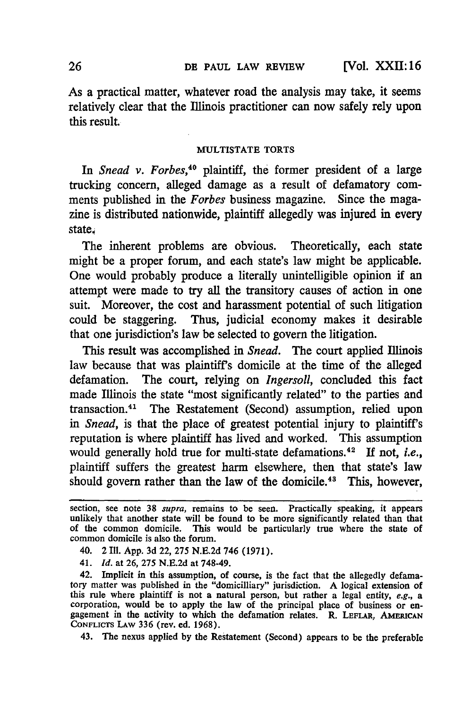**[Vol.** XXH: **16**

As a practical matter, whatever road the analysis may take, it seems relatively clear that the Illinois practitioner can now safely rely upon this result.

#### **MULTISTATE** TORTS

In *Snead v. Forbes,"0* plaintiff, the former president of a large trucking concern, alleged damage as a result of defamatory comments published in the *Forbes* business magazine. Since the magazine is distributed nationwide, plaintiff allegedly was injured in every state

The inherent problems are obvious. Theoretically, each state might be a proper forum, and each state's law might be applicable. One would probably produce a literally unintelligible opinion if an attempt were made to try all the transitory causes of action in one suit. Moreover, the cost and harassment potential of such litigation could be staggering. Thus, judicial economy makes it desirable that one jurisdiction's law be selected to govern the litigation.

This result was accomplished in *Snead.* The court applied Illinois law because that was plaintiff's domicile at the time of the alleged defamation. The court, relying on *Ingersoll,* concluded this fact made Illinois the state "most significantly related" to the parties and transaction.41 The Restatement (Second) assumption, relied upon *in Snead,* is that the place of greatest potential injury to plaintiff's reputation is where plaintiff has lived and worked. This assumption would generally hold true for multi-state defamations.<sup>42</sup> If not, *i.e.*, plaintiff suffers the greatest harm elsewhere, then that state's law should govern rather than the law of the domicile.<sup>43</sup> This, however,

- 40. 2 Ill. App. 3d 22, 275 N.E.2d 746 (1971).
- 41. *Id.* at 26, 275 N.E.2d at 748-49.

section, see note **38** supra, remains to be seen. Practically speaking, it appears unlikely that another state will be found to be more significantly related than that of the common domicile. This would be particularly true where the state of common domicile is also the forum.

<sup>42.</sup> Implicit in this assumption, of course, is the fact that the allegedly defamatory matter was published in the "domicilliary" jurisdiction. A logical extension of this rule where plaintiff is not a natural person, but rather a legal entity, e.g., a corporation, would be to apply the law of the principal place of business or en- gagement in the activity to which the defamation relates. R. **LEFLAR, AMERICAN** gagement in the activity to which the defamation relates. R. LEFLAR, AMERICAN CONFLICTS LAW 336 (rev. ed. 1968).

<sup>43.</sup> The nexus applied by the Restatement (Second) appears to be the preferable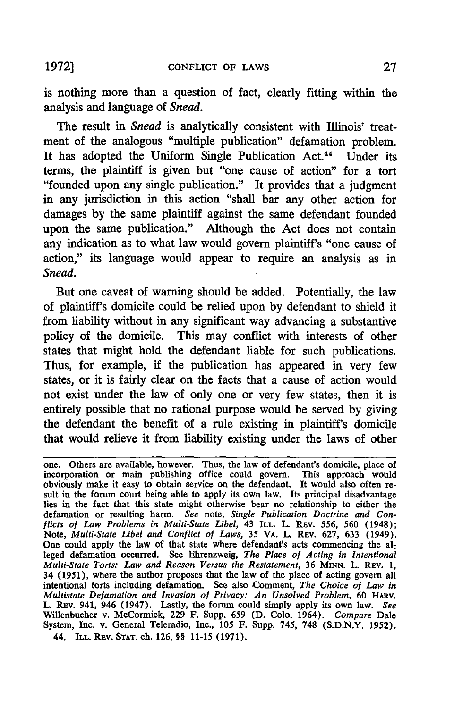is nothing more than a question of fact, clearly fitting within the analysis and language of *Snead.*

The result in *Snead* is analytically consistent with Illinois' treatment of the analogous "multiple publication" defamation problem. It has adopted the Uniform Single Publication Act.<sup>44</sup> Under its terms, the plaintiff is given but "one cause of action" for a tort "founded upon any single publication." It provides that a judgment in any jurisdiction in this action "shall bar any other action for damages **by** the same plaintiff against the same defendant founded upon the same publication." Although the Act does not contain any indication as to what law would govern plaintiff's "one cause of action," its language would appear to require an analysis as in *Snead.*

But one caveat of warning should be added. Potentially, the law of plaintiff's domicile could be relied upon **by** defendant to shield it from liability without in any significant way advancing a substantive policy of the domicile. This may conflict with interests of other states that might hold the defendant liable for such publications. Thus, for example, if the publication has appeared in very few states, or it is fairly clear on the facts that a cause of action would not exist under the law of only one or very few states, then it is entirely possible that no rational purpose would be served **by** giving the defendant the benefit of a rule existing in plaintiff's domicile that would relieve it from liability existing under the laws of other

one. Others are available, however. Thus, the law of defendant's domicile, place of incorporation or main publishing office could govern. This approach would obviously make it easy to obtain service on the defendant. It would also often result in the forum court being able to apply its own law. Its principal disadvantage lies in the fact that this state might otherwise bear no relationship to either the defamation or resulting harm. *See* note, *Single Publication Doctrine and Conflicts of Law Problems in Multi-State Libel,* 43 ILL. L. **REv.** 556, 560 (1948); Note, *Multi-State Libel and Conflict of Laws*, 35 VA. L. REV. 627, 633 (1949<sup>)</sup> One could apply the law of that state where defendant's acts commencing the alleged defamation occurred. See Ehrenzweig, *The Place of Acting in Intentional Multi-State Torts: Law and Reason Versus the Restatement,* 36 **MINN.** L. REV. 1, 34 (1951), where the author proposes that the law of the place of acting govern all intentional torts including defamation. See also Comment, *The Choice of Law in Multistate Defamation and Invasion of Privacy: An Unsolved Problem,* 60 HARv. L. REv. 941, 946 (1947). Lastly, the forum could simply apply its own law. *See* Willenbucher v. McCormick, 229 F. Supp. 659 **(D.** Colo. 1964). *Compare* Dale System, Inc. v. General Teleradio, Inc., 105 F. Supp. 745, **748 (S.D.N.Y.** 1952). 44. ILL. REV. **STAT.** ch. **126,** §§ 11-15 **(1971).**